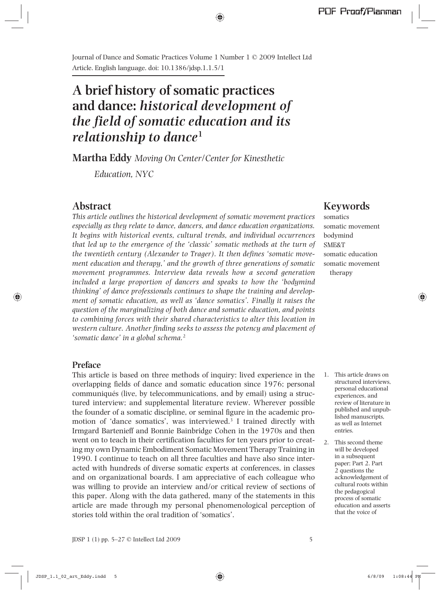## **A brief history of somatic practices and dance:** *historical development of the field of somatic education and its relationship to dance***<sup>1</sup>**

**Martha Eddy** *Moving On Center/Center for Kinesthetic* 

*Education, NYC*

## **Abstract**

*This article outlines the historical development of somatic movement practices especially as they relate to dance, dancers, and dance education organizations. It begins with historical events, cultural trends, and individual occurrences that led up to the emergence of the 'classic' somatic methods at the turn of the twentieth century (Alexander to Trager). It then defines 'somatic movement education and therapy,' and the growth of three generations of somatic movement programmes. Interview data reveals how a second generation included a large proportion of dancers and speaks to how the 'bodymind thinking' of dance professionals continues to shape the training and development of somatic education, as well as 'dance somatics'. Finally it raises the question of the marginalizing of both dance and somatic education, and points to combining forces with their shared characteristics to alter this location in western culture. Another finding seeks to assess the potency and placement of 'somatic dance' in a global schema.*<sup>2</sup>

## **Preface**

This article is based on three methods of inquiry: lived experience in the overlapping fields of dance and somatic education since 1976; personal communiqués (live, by telecommunications, and by email) using a structured interview; and supplemental literature review. Wherever possible the founder of a somatic discipline, or seminal figure in the academic promotion of 'dance somatics', was interviewed.<sup>3</sup> I trained directly with Irmgard Bartenieff and Bonnie Bainbridge Cohen in the 1970s and then went on to teach in their certification faculties for ten years prior to creating my own Dynamic Embodiment Somatic Movement Therapy Training in 1990. I continue to teach on all three faculties and have also since interacted with hundreds of diverse somatic experts at conferences, in classes and on organizational boards. I am appreciative of each colleague who was willing to provide an interview and/or critical review of sections of this paper. Along with the data gathered, many of the statements in this article are made through my personal phenomenological perception of stories told within the oral tradition of 'somatics'.

## **Keywords**

somatics somatic movement bodymind SME&T somatic education somatic movement therapy

- 1. This article draws on structured interviews, personal educational experiences, and review of literature in published and unpublished manuscripts, as well as Internet entries.
- 2. This second theme will be developed in a subsequent paper; Part 2. Part 2 questions the acknowledgement of cultural roots within the pedagogical process of somatic education and asserts that the voice of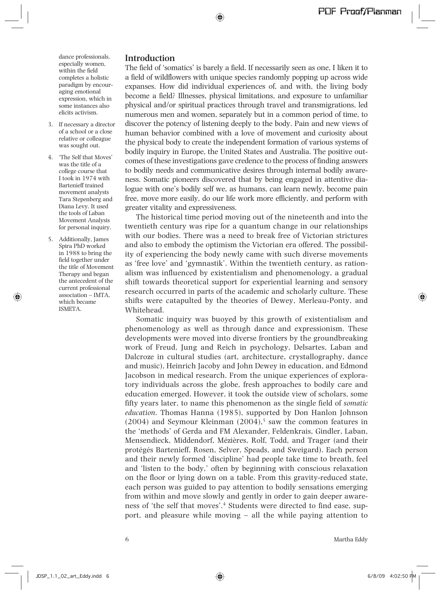dance professionals, especially women, within the field completes a holistic paradigm by encouraging emotional expression, which in some instances also elicits activism.

- 3. If necessary a director of a school or a close relative or colleague was sought out.
- 4. 'The Self that Moves' was the title of a college course that I took in 1974 with Bartenieff trained movement analysts Tara Stepenberg and Diana Levy. It used the tools of Laban Movement Analysis for personal inquiry.
- 5. Additionally, James Spira PhD worked in 1988 to bring the field together under the title of Movement Therapy and began the antecedent of the current professional association – IMTA, which became ISMETA.

## **Introduction**

The field of 'somatics' is barely a field. If necessarily seen as one, I liken it to a field of wildflowers with unique species randomly popping up across wide expanses. How did individual experiences of, and with, the living body become a field? Illnesses, physical limitations, and exposure to unfamiliar physical and/or spiritual practices through travel and transmigrations, led numerous men and women, separately but in a common period of time, to discover the potency of listening deeply to the body. Pain and new views of human behavior combined with a love of movement and curiosity about the physical body to create the independent formation of various systems of bodily inquiry in Europe, the United States and Australia. The positive outcomes of these investigations gave credence to the process of finding answers to bodily needs and communicative desires through internal bodily awareness. Somatic pioneers discovered that by being engaged in attentive dialogue with one's bodily self we, as humans, can learn newly, become pain free, move more easily, do our life work more efficiently, and perform with greater vitality and expressiveness.

The historical time period moving out of the nineteenth and into the twentieth century was ripe for a quantum change in our relationships with our bodies. There was a need to break free of Victorian strictures and also to embody the optimism the Victorian era offered. The possibility of experiencing the body newly came with such diverse movements as 'free love' and 'gymnastik'. Within the twentieth century, as rationalism was influenced by existentialism and phenomenology, a gradual shift towards theoretical support for experiential learning and sensory research occurred in parts of the academic and scholarly culture. These shifts were catapulted by the theories of Dewey, Merleau-Ponty, and Whitehead.

Somatic inquiry was buoyed by this growth of existentialism and phenomenology as well as through dance and expressionism. These developments were moved into diverse frontiers by the groundbreaking work of Freud, Jung and Reich in psychology, Delsartes, Laban and Dalcroze in cultural studies (art, architecture, crystallography, dance and music), Heinrich Jacoby and John Dewey in education, and Edmond Jacobson in medical research. From the unique experiences of exploratory individuals across the globe, fresh approaches to bodily care and education emerged. However, it took the outside view of scholars, some fifty years later, to name this phenomenon as the single field of *somatic education*. Thomas Hanna (1985), supported by Don Hanlon Johnson  $(2004)$  and Seymour Kleinman  $(2004)$ ,<sup>5</sup> saw the common features in the 'methods' of Gerda and FM Alexander, Feldenkrais, Gindler, Laban, Mensendieck, Middendorf, Mézières, Rolf, Todd, and Trager (and their protégés Bartenieff, Rosen, Selver, Speads, and Sweigard). Each person and their newly formed 'discipline' had people take time to breath, feel and 'listen to the body,' often by beginning with conscious relaxation on the floor or lying down on a table. From this gravity-reduced state, each person was guided to pay attention to bodily sensations emerging from within and move slowly and gently in order to gain deeper awareness of 'the self that moves'.<sup>4</sup> Students were directed to find ease, support, and pleasure while moving – all the while paying attention to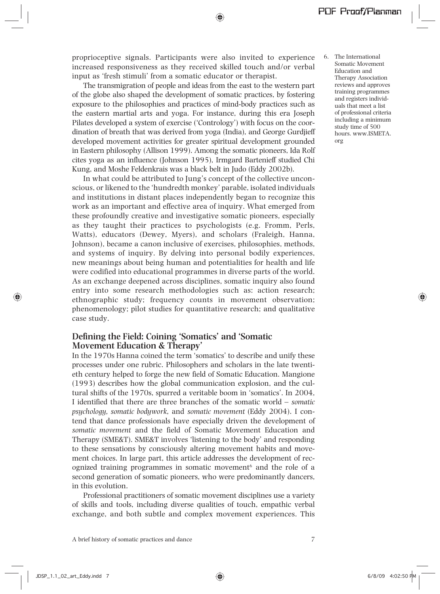proprioceptive signals. Participants were also invited to experience increased responsiveness as they received skilled touch and/or verbal input as 'fresh stimuli' from a somatic educator or therapist.

The transmigration of people and ideas from the east to the western part of the globe also shaped the development of somatic practices, by fostering exposure to the philosophies and practices of mind-body practices such as the eastern martial arts and yoga. For instance, during this era Joseph Pilates developed a system of exercise ('Contrology') with focus on the coordination of breath that was derived from yoga (India), and George Gurdjieff developed movement activities for greater spiritual development grounded in Eastern philosophy (Allison 1999). Among the somatic pioneers, Ida Rolf cites yoga as an influence (Johnson 1995), Irmgard Bartenieff studied Chi Kung, and Moshe Feldenkrais was a black belt in Judo (Eddy 2002b).

In what could be attributed to Jung's concept of the collective unconscious, or likened to the 'hundredth monkey' parable, isolated individuals and institutions in distant places independently began to recognize this work as an important and effective area of inquiry. What emerged from these profoundly creative and investigative somatic pioneers, especially as they taught their practices to psychologists (e.g. Fromm, Perls, Watts), educators (Dewey, Myers), and scholars (Fraleigh, Hanna, Johnson), became a canon inclusive of exercises, philosophies, methods, and systems of inquiry. By delving into personal bodily experiences, new meanings about being human and potentialities for health and life were codified into educational programmes in diverse parts of the world. As an exchange deepened across disciplines, somatic inquiry also found entry into some research methodologies such as: action research; ethnographic study; frequency counts in movement observation; phenomenology; pilot studies for quantitative research; and qualitative case study.

## **Defining the Field: Coining 'Somatics' and 'Somatic Movement Education & Therapy'**

In the 1970s Hanna coined the term 'somatics' to describe and unify these processes under one rubric. Philosophers and scholars in the late twentieth century helped to forge the new field of Somatic Education. Mangione (1993) describes how the global communication explosion, and the cultural shifts of the 1970s, spurred a veritable boom in 'somatics'. In 2004, I identified that there are three branches of the somatic world – *somatic psychology, somatic bodywork*, and *somatic movement* (Eddy 2004). I contend that dance professionals have especially driven the development of *somatic movement* and the field of Somatic Movement Education and Therapy (SME&T). SME&T involves 'listening to the body' and responding to these sensations by consciously altering movement habits and movement choices. In large part, this article addresses the development of recognized training programmes in somatic movement<sup>6</sup> and the role of a second generation of somatic pioneers, who were predominantly dancers, in this evolution.

Professional practitioners of somatic movement disciplines use a variety of skills and tools, including diverse qualities of touch, empathic verbal exchange, and both subtle and complex movement experiences. This 6. The International Somatic Movement Education and Therapy Association reviews and approves training programmes and registers individuals that meet a list of professional criteria including a minimum study time of 500 hours. www.ISMETA. org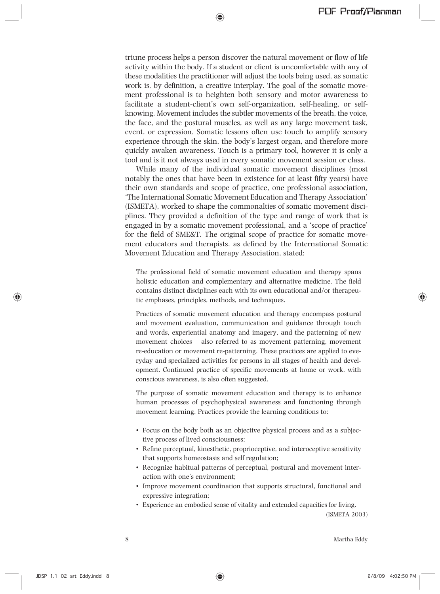triune process helps a person discover the natural movement or flow of life activity within the body. If a student or client is uncomfortable with any of these modalities the practitioner will adjust the tools being used, as somatic work is, by definition, a creative interplay. The goal of the somatic movement professional is to heighten both sensory and motor awareness to facilitate a student-client's own self-organization, self-healing, or selfknowing. Movement includes the subtler movements of the breath, the voice, the face, and the postural muscles, as well as any large movement task, event, or expression. Somatic lessons often use touch to amplify sensory experience through the skin, the body's largest organ, and therefore more quickly awaken awareness. Touch is a primary tool, however it is only a tool and is it not always used in every somatic movement session or class.

While many of the individual somatic movement disciplines (most notably the ones that have been in existence for at least fifty years) have their own standards and scope of practice, one professional association, 'The International Somatic Movement Education and Therapy Association' (ISMETA), worked to shape the commonalties of somatic movement disciplines. They provided a definition of the type and range of work that is engaged in by a somatic movement professional, and a 'scope of practice' for the field of SME&T. The original scope of practice for somatic movement educators and therapists, as defined by the International Somatic Movement Education and Therapy Association, stated:

The professional field of somatic movement education and therapy spans holistic education and complementary and alternative medicine. The field contains distinct disciplines each with its own educational and/or therapeutic emphases, principles, methods, and techniques.

Practices of somatic movement education and therapy encompass postural and movement evaluation, communication and guidance through touch and words, experiential anatomy and imagery, and the patterning of new movement choices – also referred to as movement patterning, movement re-education or movement re-patterning. These practices are applied to everyday and specialized activities for persons in all stages of health and development. Continued practice of specific movements at home or work, with conscious awareness, is also often suggested.

The purpose of somatic movement education and therapy is to enhance human processes of psychophysical awareness and functioning through movement learning. Practices provide the learning conditions to:

- Focus on the body both as an objective physical process and as a subjective process of lived consciousness;
- Refine perceptual, kinesthetic, proprioceptive, and interoceptive sensitivity that supports homeostasis and self regulation;
- Recognize habitual patterns of perceptual, postural and movement interaction with one's environment;
- Improve movement coordination that supports structural, functional and expressive integration;
- Experience an embodied sense of vitality and extended capacities for living.

<sup>(</sup>ISMETA 2003)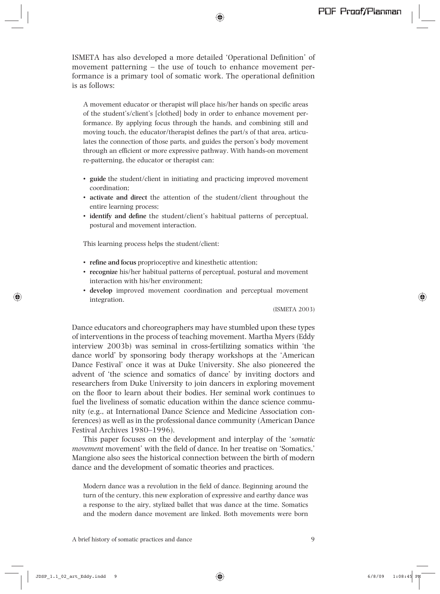ISMETA has also developed a more detailed 'Operational Definition' of movement patterning – the use of touch to enhance movement performance is a primary tool of somatic work. The operational definition is as follows:

A movement educator or therapist will place his/her hands on specific areas of the student's/client's [clothed] body in order to enhance movement performance. By applying focus through the hands, and combining still and moving touch, the educator/therapist defines the part/s of that area, articulates the connection of those parts, and guides the person's body movement through an efficient or more expressive pathway. With hands-on movement re-patterning, the educator or therapist can:

- **guide** the student/client in initiating and practicing improved movement coordination;
- **activate and direct** the attention of the student/client throughout the entire learning process;
- **identify and define** the student/client's habitual patterns of perceptual, postural and movement interaction.

This learning process helps the student/client:

- **refine and focus** proprioceptive and kinesthetic attention;
- **recognize** his/her habitual patterns of perceptual, postural and movement interaction with his/her environment;
- **develop** improved movement coordination and perceptual movement integration.

(ISMETA 2003)

Dance educators and choreographers may have stumbled upon these types of interventions in the process of teaching movement. Martha Myers (Eddy interview 2003b) was seminal in cross-fertilizing somatics within 'the dance world' by sponsoring body therapy workshops at the 'American Dance Festival' once it was at Duke University. She also pioneered the advent of 'the science and somatics of dance' by inviting doctors and researchers from Duke University to join dancers in exploring movement on the floor to learn about their bodies. Her seminal work continues to fuel the liveliness of somatic education within the dance science community (e.g., at International Dance Science and Medicine Association conferences) as well as in the professional dance community (American Dance Festival Archives 1980–1996).

This paper focuses on the development and interplay of the '*somatic movement* movement' with the field of dance. In her treatise on 'Somatics,' Mangione also sees the historical connection between the birth of modern dance and the development of somatic theories and practices.

Modern dance was a revolution in the field of dance. Beginning around the turn of the century, this new exploration of expressive and earthy dance was a response to the airy, stylized ballet that was dance at the time. Somatics and the modern dance movement are linked. Both movements were born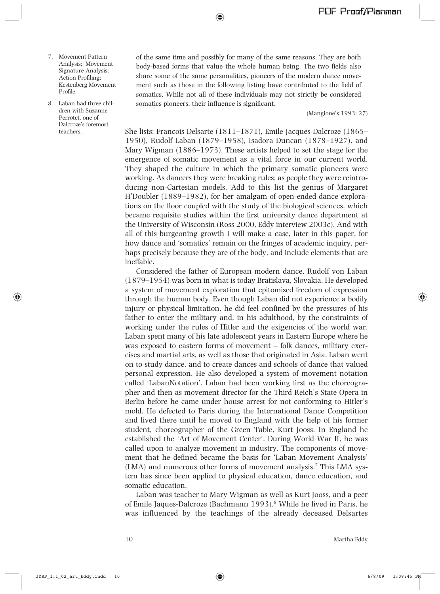- 7. Movement Pattern Analysis; Movement Signature Analysis; Action Profiling; Kestenberg Movement Profile.
- 8. Laban had three children with Suzanne Perrotet, one of Dalcroze's foremost teachers.

of the same time and possibly for many of the same reasons. They are both body-based forms that value the whole human being. The two fields also share some of the same personalities, pioneers of the modern dance movement such as those in the following listing have contributed to the field of somatics. While not all of these individuals may not strictly be considered somatics pioneers, their influence is significant.

(Mangione's 1993: 27)

She lists: Francois Delsarte (1811–1871), Emile Jacques-Dalcroze (1865– 1950), Rudolf Laban (1879–1958), Isadora Duncan (1878–1927), and Mary Wigman (1886–1973). These artists helped to set the stage for the emergence of somatic movement as a vital force in our current world. They shaped the culture in which the primary somatic pioneers were working. As dancers they were breaking rules; as people they were reintroducing non-Cartesian models. Add to this list the genius of Margaret H'Doubler (1889–1982), for her amalgam of open-ended dance explorations on the floor coupled with the study of the biological sciences, which became requisite studies within the first university dance department at the University of Wisconsin (Ross 2000, Eddy interview 2003c). And with all of this burgeoning growth I will make a case, later in this paper, for how dance and 'somatics' remain on the fringes of academic inquiry, perhaps precisely because they are of the body, and include elements that are ineffable.

Considered the father of European modern dance, Rudolf von Laban (1879–1954) was born in what is today Bratislava, Slovakia. He developed a system of movement exploration that epitomized freedom of expression through the human body. Even though Laban did not experience a bodily injury or physical limitation, he did feel confined by the pressures of his father to enter the military and, in his adulthood, by the constraints of working under the rules of Hitler and the exigencies of the world war. Laban spent many of his late adolescent years in Eastern Europe where he was exposed to eastern forms of movement – folk dances, military exercises and martial arts, as well as those that originated in Asia. Laban went on to study dance, and to create dances and schools of dance that valued personal expression. He also developed a system of movement notation called 'LabanNotation'. Laban had been working first as the choreographer and then as movement director for the Third Reich's State Opera in Berlin before he came under house arrest for not conforming to Hitler's mold. He defected to Paris during the International Dance Competition and lived there until he moved to England with the help of his former student, choreographer of the Green Table, Kurt Jooss. In England he established the 'Art of Movement Center'. During World War II, he was called upon to analyze movement in industry. The components of movement that he defined became the basis for 'Laban Movement Analysis' (LMA) and numerous other forms of movement analysis.<sup>7</sup> This LMA system has since been applied to physical education, dance education, and somatic education.

Laban was teacher to Mary Wigman as well as Kurt Jooss, and a peer of Emile Jaques-Dalcroze (Bachmann 1993).8 While he lived in Paris, he was influenced by the teachings of the already deceased Delsartes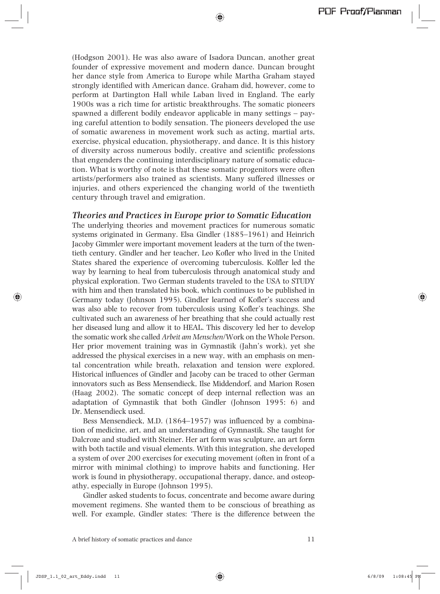(Hodgson 2001). He was also aware of Isadora Duncan, another great founder of expressive movement and modern dance. Duncan brought her dance style from America to Europe while Martha Graham stayed strongly identified with American dance. Graham did, however, come to perform at Dartington Hall while Laban lived in England. The early 1900s was a rich time for artistic breakthroughs. The somatic pioneers spawned a different bodily endeavor applicable in many settings – paying careful attention to bodily sensation. The pioneers developed the use of somatic awareness in movement work such as acting, martial arts, exercise, physical education, physiotherapy, and dance. It is this history of diversity across numerous bodily, creative and scientific professions that engenders the continuing interdisciplinary nature of somatic education. What is worthy of note is that these somatic progenitors were often artists/performers also trained as scientists. Many suffered illnesses or injuries, and others experienced the changing world of the twentieth century through travel and emigration.

## *Theories and Practices in Europe prior to Somatic Education*

The underlying theories and movement practices for numerous somatic systems originated in Germany. Elsa Gindler (1885–1961) and Heinrich Jacoby Gimmler were important movement leaders at the turn of the twentieth century. Gindler and her teacher, Leo Kofler who lived in the United States shared the experience of overcoming tuberculosis. Kolfler led the way by learning to heal from tuberculosis through anatomical study and physical exploration. Two German students traveled to the USA to STUDY with him and then translated his book, which continues to be published in Germany today (Johnson 1995). Gindler learned of Kofler's success and was also able to recover from tuberculosis using Kofler's teachings. She cultivated such an awareness of her breathing that she could actually rest her diseased lung and allow it to HEAL. This discovery led her to develop the somatic work she called *Arbeit am Menschen*/Work on the Whole Person. Her prior movement training was in Gymnastik (Jahn's work), yet she addressed the physical exercises in a new way, with an emphasis on mental concentration while breath, relaxation and tension were explored. Historical influences of Gindler and Jacoby can be traced to other German innovators such as Bess Mensendieck, Ilse Middendorf, and Marion Rosen (Haag 2002). The somatic concept of deep internal reflection was an adaptation of Gymnastik that both Gindler (Johnson 1995: 6) and Dr. Mensendieck used.

Bess Mensendieck, M.D. (1864–1957) was influenced by a combination of medicine, art, and an understanding of Gymnastik. She taught for Dalcroze and studied with Steiner. Her art form was sculpture, an art form with both tactile and visual elements. With this integration, she developed a system of over 200 exercises for executing movement (often in front of a mirror with minimal clothing) to improve habits and functioning. Her work is found in physiotherapy, occupational therapy, dance, and osteopathy, especially in Europe (Johnson 1995).

Gindler asked students to focus, concentrate and become aware during movement regimens. She wanted them to be conscious of breathing as well. For example, Gindler states: 'There is the difference between the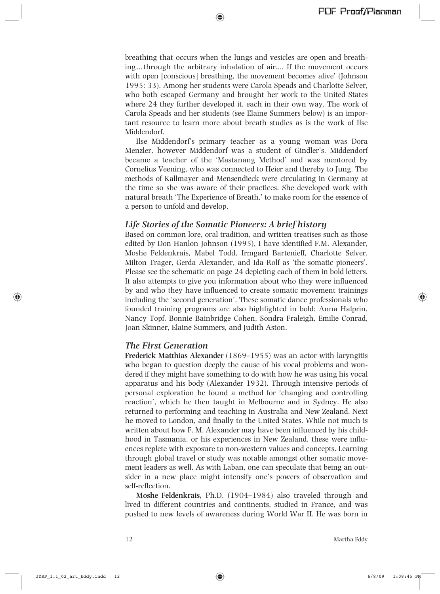breathing that occurs when the lungs and vesicles are open and breathing … through the arbitrary inhalation of air.… If the movement occurs with open [conscious] breathing, the movement becomes alive' (Johnson 1995: 33). Among her students were Carola Speads and Charlotte Selver, who both escaped Germany and brought her work to the United States where 24 they further developed it, each in their own way. The work of Carola Speads and her students (see Elaine Summers below) is an important resource to learn more about breath studies as is the work of Ilse Middendorf.

Ilse Middendorf's primary teacher as a young woman was Dora Menzler, however Middendorf was a student of Gindler's. Middendorf became a teacher of the 'Mastanang Method' and was mentored by Cornelius Veening, who was connected to Heier and thereby to Jung. The methods of Kallmayer and Mensendieck were circulating in Germany at the time so she was aware of their practices. She developed work with natural breath 'The Experience of Breath,' to make room for the essence of a person to unfold and develop.

#### *Life Stories of the Somatic Pioneers: A brief history*

Based on common lore, oral tradition, and written treatises such as those edited by Don Hanlon Johnson (1995), I have identified F.M. Alexander, Moshe Feldenkrais, Mabel Todd, Irmgard Bartenieff, Charlotte Selver, Milton Trager, Gerda Alexander, and Ida Rolf as 'the somatic pioneers'. Please see the schematic on page 24 depicting each of them in bold letters. It also attempts to give you information about who they were influenced by and who they have influenced to create somatic movement trainings including the 'second generation'. These somatic dance professionals who founded training programs are also highlighted in bold: Anna Halprin, Nancy Topf, Bonnie Bainbridge Cohen, Sondra Fraleigh, Emilie Conrad, Joan Skinner, Elaine Summers, and Judith Aston.

#### *The First Generation*

**Frederick Matthias Alexander** (1869–1955) was an actor with laryngitis who began to question deeply the cause of his vocal problems and wondered if they might have something to do with how he was using his vocal apparatus and his body (Alexander 1932). Through intensive periods of personal exploration he found a method for 'changing and controlling reaction', which he then taught in Melbourne and in Sydney. He also returned to performing and teaching in Australia and New Zealand. Next he moved to London, and finally to the United States. While not much is written about how F. M. Alexander may have been influenced by his childhood in Tasmania, or his experiences in New Zealand, these were influences replete with exposure to non-western values and concepts. Learning through global travel or study was notable amongst other somatic movement leaders as well. As with Laban, one can speculate that being an outsider in a new place might intensify one's powers of observation and self-reflection.

**Moshe Feldenkrais,** Ph.D. (1904–1984) also traveled through and lived in different countries and continents, studied in France, and was pushed to new levels of awareness during World War II. He was born in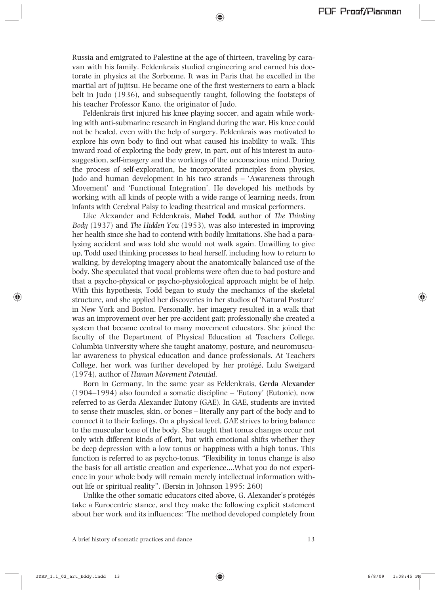Russia and emigrated to Palestine at the age of thirteen, traveling by caravan with his family. Feldenkrais studied engineering and earned his doctorate in physics at the Sorbonne. It was in Paris that he excelled in the martial art of jujitsu. He became one of the first westerners to earn a black belt in Judo (1936), and subsequently taught, following the footsteps of his teacher Professor Kano, the originator of Judo.

Feldenkrais first injured his knee playing soccer, and again while working with anti-submarine research in England during the war. His knee could not be healed, even with the help of surgery. Feldenkrais was motivated to explore his own body to find out what caused his inability to walk. This inward road of exploring the body grew, in part, out of his interest in autosuggestion, self-imagery and the workings of the unconscious mind. During the process of self-exploration, he incorporated principles from physics, Judo and human development in his two strands – 'Awareness through Movement' and 'Functional Integration'. He developed his methods by working with all kinds of people with a wide range of learning needs, from infants with Cerebral Palsy to leading theatrical and musical performers.

Like Alexander and Feldenkrais, **Mabel Todd,** author of *The Thinking Body* (1937) and *The Hidden You* (1953), was also interested in improving her health since she had to contend with bodily limitations. She had a paralyzing accident and was told she would not walk again. Unwilling to give up, Todd used thinking processes to heal herself, including how to return to walking, by developing imagery about the anatomically balanced use of the body. She speculated that vocal problems were often due to bad posture and that a psycho-physical or psycho-physiological approach might be of help. With this hypothesis, Todd began to study the mechanics of the skeletal structure, and she applied her discoveries in her studios of 'Natural Posture' in New York and Boston. Personally, her imagery resulted in a walk that was an improvement over her pre-accident gait; professionally she created a system that became central to many movement educators. She joined the faculty of the Department of Physical Education at Teachers College, Columbia University where she taught anatomy, posture, and neuromuscular awareness to physical education and dance professionals. At Teachers College, her work was further developed by her protégé, Lulu Sweigard (1974), author of *Human Movement Potential*.

Born in Germany, in the same year as Feldenkrais, **Gerda Alexander** (1904–1994) also founded a somatic discipline – 'Eutony' (Eutonie), now referred to as Gerda Alexander Eutony (GAE). In GAE, students are invited to sense their muscles, skin, or bones – literally any part of the body and to connect it to their feelings. On a physical level, GAE strives to bring balance to the muscular tone of the body. She taught that tonus changes occur not only with different kinds of effort, but with emotional shifts whether they be deep depression with a low tonus or happiness with a high tonus. This function is referred to as psycho-tonus. "Flexibility in tonus change is also the basis for all artistic creation and experience….What you do not experience in your whole body will remain merely intellectual information without life or spiritual reality". (Bersin in Johnson 1995: 260)

Unlike the other somatic educators cited above, G. Alexander's protégés take a Eurocentric stance, and they make the following explicit statement about her work and its influences: 'The method developed completely from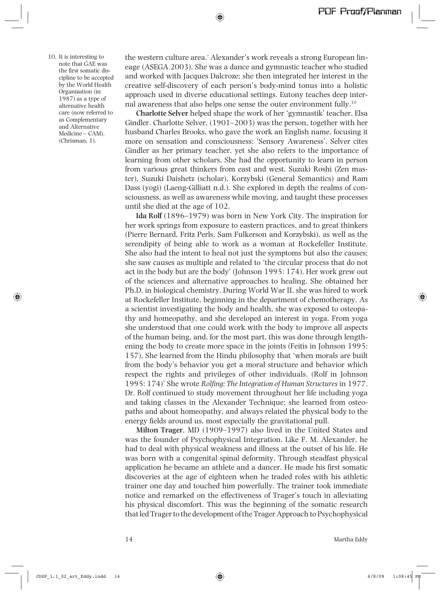10. It is interesting to note that GAE was the first somatic discipline to be accepted by the World Health Organization (in 1987) as a type of alternative health care (now referred to as Complementary and Alternative Medicine – CAM). (Chrisman, 1).

the western culture area.' Alexander's work reveals a strong European lineage (ASEGA 2003). She was a dance and gymnastic teacher who studied and worked with Jacques Dalcroze; she then integrated her interest in the creative self-discovery of each person's body-mind tonus into a holistic approach used in diverse educational settings. Eutony teaches deep internal awareness that also helps one sense the outer environment fully.<sup>10</sup>

**Charlotte Selver** helped shape the work of her 'gymnastik' teacher, Elsa Gindler. Charlotte Selver, (1901–2003) was the person, together with her husband Charles Brooks, who gave the work an English name, focusing it more on sensation and consciousness: 'Sensory Awareness'. Selver cites Gindler as her primary teacher, yet she also refers to the importance of learning from other scholars. She had the opportunity to learn in person from various great thinkers from east and west, Suzuki Roshi (Zen master), Suzuki Daishetz (scholar), Korzybski (General Semantics) and Ram Dass (yogi) (Laeng-Gilliatt n.d.). She explored in depth the realms of consciousness, as well as awareness while moving, and taught these processes until she died at the age of 102.

**Ida Rolf** (1896–1979) was born in New York City. The inspiration for her work springs from exposure to eastern practices, and to great thinkers (Pierre Bernard, Fritz Perls, Sam Fulkerson and Korzybski), as well as the serendipity of being able to work as a woman at Rockefeller Institute. She also had the intent to heal not just the symptoms but also the causes; she saw causes as multiple and related to 'the circular process that do not act in the body but are the body' (Johnson 1995: 174). Her work grew out of the sciences and alternative approaches to healing. She obtained her Ph.D. in biological chemistry. During World War II, she was hired to work at Rockefeller Institute, beginning in the department of chemotherapy. As a scientist investigating the body and health, she was exposed to osteopathy and homeopathy, and she developed an interest in yoga. From yoga she understood that one could work with the body to improve all aspects of the human being, and, for the most part, this was done through lengthening the body to create more space in the joints (Feitis in Johnson 1995: 157). She learned from the Hindu philosophy that 'when morals are built from the body's behavior you get a moral structure and behavior which respect the rights and privileges of other individuals. (Rolf in Johnson 1995: 174)' She wrote *Rolfing: The Integration of Human Structures* in 1977. Dr. Rolf continued to study movement throughout her life including yoga and taking classes in the Alexander Technique; she learned from osteopaths and about homeopathy, and always related the physical body to the energy fields around us, most especially the gravitational pull.

**Milton Trager**, MD (1909–1997) also lived in the United States and was the founder of Psychophysical Integration. Like F. M. Alexander, he had to deal with physical weakness and illness at the outset of his life. He was born with a congenital spinal deformity. Through steadfast physical application he became an athlete and a dancer. He made his first somatic discoveries at the age of eighteen when he traded roles with his athletic trainer one day and touched him powerfully. The trainer took immediate notice and remarked on the effectiveness of Trager's touch in alleviating his physical discomfort. This was the beginning of the somatic research that led Trager to the development of the Trager Approach to Psychophysical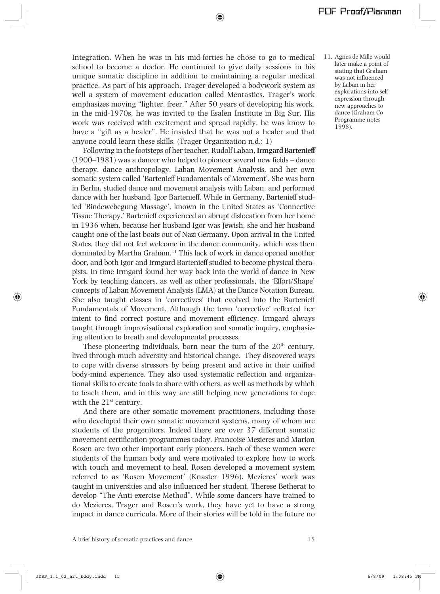Integration. When he was in his mid-forties he chose to go to medical school to become a doctor. He continued to give daily sessions in his unique somatic discipline in addition to maintaining a regular medical practice. As part of his approach, Trager developed a bodywork system as well a system of movement education called Mentastics. Trager's work emphasizes moving "lighter, freer." After 50 years of developing his work, in the mid-1970s, he was invited to the Esalen Institute in Big Sur. His work was received with excitement and spread rapidly, he was know to have a "gift as a healer". He insisted that he was not a healer and that anyone could learn these skills. (Trager Organization n.d.: 1)

Following in the footsteps of her teacher, Rudolf Laban, **Irmgard Bartenieff** (1900–1981) was a dancer who helped to pioneer several new fields – dance therapy, dance anthropology, Laban Movement Analysis, and her own somatic system called 'Bartenieff Fundamentals of Movement'. She was born in Berlin, studied dance and movement analysis with Laban, and performed dance with her husband, Igor Bartenieff. While in Germany, Bartenieff studied 'Bindewebegung Massage', known in the United States as 'Connective Tissue Therapy.' Bartenieff experienced an abrupt dislocation from her home in 1936 when, because her husband Igor was Jewish, she and her husband caught one of the last boats out of Nazi Germany. Upon arrival in the United States, they did not feel welcome in the dance community, which was then dominated by Martha Graham.<sup>11</sup> This lack of work in dance opened another door, and both Igor and Irmgard Bartenieff studied to become physical therapists. In time Irmgard found her way back into the world of dance in New York by teaching dancers, as well as other professionals, the 'Effort/Shape' concepts of Laban Movement Analysis (LMA) at the Dance Notation Bureau. She also taught classes in 'correctives' that evolved into the Bartenieff Fundamentals of Movement. Although the term 'corrective' reflected her intent to find correct posture and movement efficiency, Irmgard always taught through improvisational exploration and somatic inquiry, emphasizing attention to breath and developmental processes.

These pioneering individuals, born near the turn of the  $20<sup>th</sup>$  century, lived through much adversity and historical change. They discovered ways to cope with diverse stressors by being present and active in their unified body-mind experience. They also used systematic reflection and organizational skills to create tools to share with others, as well as methods by which to teach them, and in this way are still helping new generations to cope with the  $21<sup>st</sup>$  century.

And there are other somatic movement practitioners, including those who developed their own somatic movement systems, many of whom are students of the progenitors. Indeed there are over 37 different somatic movement certification programmes today. Francoise Mezieres and Marion Rosen are two other important early pioneers. Each of these women were students of the human body and were motivated to explore how to work with touch and movement to heal. Rosen developed a movement system referred to as 'Rosen Movement' (Knaster 1996). Mezieres' work was taught in universities and also influenced her student, Therese Betherat to develop "The Anti-exercise Method". While some dancers have trained to do Mezieres, Trager and Rosen's work, they have yet to have a strong impact in dance curricula. More of their stories will be told in the future no 11. Agnes de Mille would later make a point of stating that Graham was not influenced by Laban in her explorations into selfexpression through new approaches to dance (Graham Co Programme notes 1998).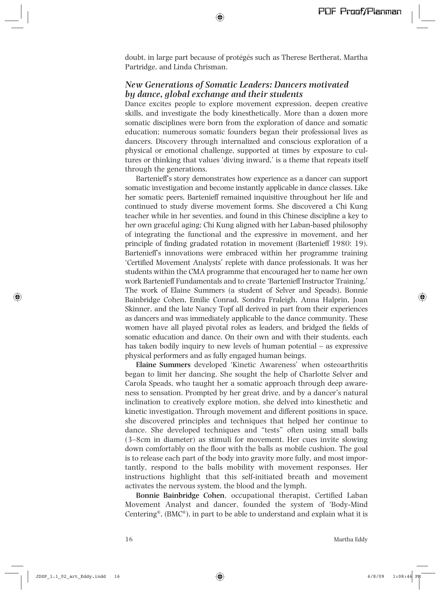doubt, in large part because of protégés such as Therese Bertherat, Martha Partridge, and Linda Chrisman.

## *New Generations of Somatic Leaders: Dancers motivated by dance, global exchange and their students*

Dance excites people to explore movement expression, deepen creative skills, and investigate the body kinesthetically. More than a dozen more somatic disciplines were born from the exploration of dance and somatic education; numerous somatic founders began their professional lives as dancers. Discovery through internalized and conscious exploration of a physical or emotional challenge, supported at times by exposure to cultures or thinking that values 'diving inward,' is a theme that repeats itself through the generations.

Bartenieff's story demonstrates how experience as a dancer can support somatic investigation and become instantly applicable in dance classes. Like her somatic peers, Bartenieff remained inquisitive throughout her life and continued to study diverse movement forms. She discovered a Chi Kung teacher while in her seventies, and found in this Chinese discipline a key to her own graceful aging; Chi Kung aligned with her Laban-based philosophy of integrating the functional and the expressive in movement, and her principle of finding gradated rotation in movement (Bartenieff 1980: 19). Bartenieff's innovations were embraced within her programme training 'Certified Movement Analysts' replete with dance professionals. It was her students within the CMA programme that encouraged her to name her own work Bartenieff Fundamentals and to create 'Bartenieff Instructor Training.' The work of Elaine Summers (a student of Selver and Speads), Bonnie Bainbridge Cohen, Emilie Conrad, Sondra Fraleigh, Anna Halprin, Joan Skinner, and the late Nancy Topf all derived in part from their experiences as dancers and was immediately applicable to the dance community. These women have all played pivotal roles as leaders, and bridged the fields of somatic education and dance. On their own and with their students, each has taken bodily inquiry to new levels of human potential – as expressive physical performers and as fully engaged human beings.

**Elaine Summers** developed 'Kinetic Awareness' when osteoarthritis began to limit her dancing. She sought the help of Charlotte Selver and Carola Speads, who taught her a somatic approach through deep awareness to sensation. Prompted by her great drive, and by a dancer's natural inclination to creatively explore motion, she delved into kinesthetic and kinetic investigation. Through movement and different positions in space, she discovered principles and techniques that helped her continue to dance. She developed techniques and "tests" often using small balls (3–8cm in diameter) as stimuli for movement. Her cues invite slowing down comfortably on the floor with the balls as mobile cushion. The goal is to release each part of the body into gravity more fully, and most importantly, respond to the balls mobility with movement responses. Her instructions highlight that this self-initiated breath and movement activates the nervous system, the blood and the lymph.

**Bonnie Bainbridge Cohen**, occupational therapist, Certified Laban Movement Analyst and dancer, founded the system of 'Body-Mind Centering®, (BMC®), in part to be able to understand and explain what it is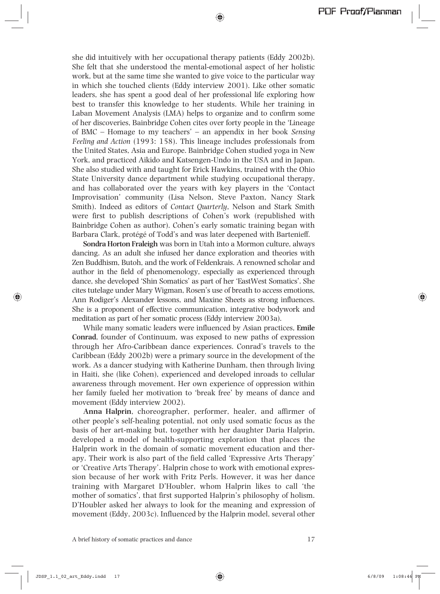she did intuitively with her occupational therapy patients (Eddy 2002b). She felt that she understood the mental-emotional aspect of her holistic work, but at the same time she wanted to give voice to the particular way in which she touched clients (Eddy interview 2001). Like other somatic leaders, she has spent a good deal of her professional life exploring how best to transfer this knowledge to her students. While her training in Laban Movement Analysis (LMA) helps to organize and to confirm some of her discoveries, Bainbridge Cohen cites over forty people in the 'Lineage of BMC – Homage to my teachers' – an appendix in her book *Sensing Feeling and Action* (1993: 158). This lineage includes professionals from the United States, Asia and Europe. Bainbridge Cohen studied yoga in New York, and practiced Aikido and Katsengen-Undo in the USA and in Japan. She also studied with and taught for Erick Hawkins, trained with the Ohio State University dance department while studying occupational therapy, and has collaborated over the years with key players in the 'Contact Improvisation' community (Lisa Nelson, Steve Paxton, Nancy Stark Smith). Indeed as editors of *Contact Quarterly*, Nelson and Stark Smith were first to publish descriptions of Cohen's work (republished with Bainbridge Cohen as author). Cohen's early somatic training began with Barbara Clark, protégé of Todd's and was later deepened with Bartenieff.

**Sondra Horton Fraleigh** was born in Utah into a Mormon culture, always dancing. As an adult she infused her dance exploration and theories with Zen Buddhism, Butoh, and the work of Feldenkrais. A renowned scholar and author in the field of phenomenology, especially as experienced through dance, she developed 'Shin Somatics' as part of her 'EastWest Somatics'. She cites tutelage under Mary Wigman, Rosen's use of breath to access emotions, Ann Rodiger's Alexander lessons, and Maxine Sheets as strong influences. She is a proponent of effective communication, integrative bodywork and meditation as part of her somatic process (Eddy interview 2003a).

While many somatic leaders were influenced by Asian practices, **Emile Conrad**, founder of Continuum, was exposed to new paths of expression through her Afro-Caribbean dance experiences. Conrad's travels to the Caribbean (Eddy 2002b) were a primary source in the development of the work. As a dancer studying with Katherine Dunham, then through living in Haiti, she (like Cohen), experienced and developed inroads to cellular awareness through movement. Her own experience of oppression within her family fueled her motivation to 'break free' by means of dance and movement (Eddy interview 2002).

**Anna Halprin**, choreographer, performer, healer, and affirmer of other people's self-healing potential, not only used somatic focus as the basis of her art-making but, together with her daughter Daria Halprin, developed a model of health-supporting exploration that places the Halprin work in the domain of somatic movement education and therapy. Their work is also part of the field called 'Expressive Arts Therapy' or 'Creative Arts Therapy'. Halprin chose to work with emotional expression because of her work with Fritz Perls. However, it was her dance training with Margaret D'Houbler, whom Halprin likes to call 'the mother of somatics', that first supported Halprin's philosophy of holism. D'Houbler asked her always to look for the meaning and expression of movement (Eddy, 2003c). Influenced by the Halprin model, several other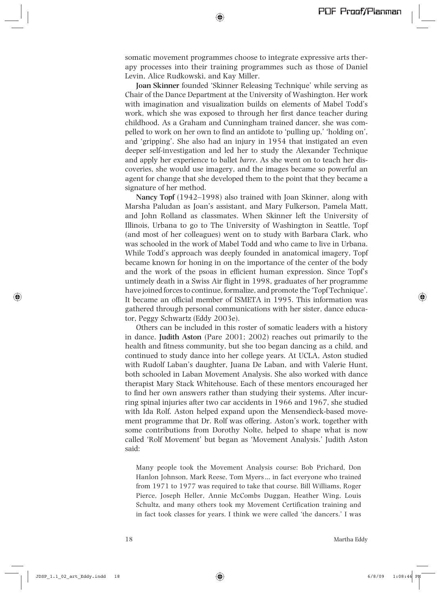somatic movement programmes choose to integrate expressive arts therapy processes into their training programmes such as those of Daniel Levin, Alice Rudkowski, and Kay Miller.

**Joan Skinner** founded 'Skinner Releasing Technique' while serving as Chair of the Dance Department at the University of Washington. Her work with imagination and visualization builds on elements of Mabel Todd's work, which she was exposed to through her first dance teacher during childhood. As a Graham and Cunningham trained dancer, she was compelled to work on her own to find an antidote to 'pulling up,' 'holding on', and 'gripping'. She also had an injury in 1954 that instigated an even deeper self-investigation and led her to study the Alexander Technique and apply her experience to ballet *barre*. As she went on to teach her discoveries, she would use imagery, and the images became so powerful an agent for change that she developed them to the point that they became a signature of her method.

**Nancy Topf** (1942–1998) also trained with Joan Skinner, along with Marsha Paludan as Joan's assistant, and Mary Fulkerson, Pamela Matt, and John Rolland as classmates. When Skinner left the University of Illinois, Urbana to go to The University of Washington in Seattle, Topf (and most of her colleagues) went on to study with Barbara Clark, who was schooled in the work of Mabel Todd and who came to live in Urbana. While Todd's approach was deeply founded in anatomical imagery, Topf became known for honing in on the importance of the center of the body and the work of the psoas in efficient human expression. Since Topf's untimely death in a Swiss Air flight in 1998, graduates of her programme have joined forces to continue, formalize, and promote the 'Topf Technique'. It became an official member of ISMETA in 1995. This information was gathered through personal communications with her sister, dance educator, Peggy Schwartz (Eddy 2003e).

Others can be included in this roster of somatic leaders with a history in dance. **Judith Aston** (Pare 2001; 2002) reaches out primarily to the health and fitness community, but she too began dancing as a child, and continued to study dance into her college years. At UCLA, Aston studied with Rudolf Laban's daughter, Juana De Laban, and with Valerie Hunt, both schooled in Laban Movement Analysis. She also worked with dance therapist Mary Stack Whitehouse. Each of these mentors encouraged her to find her own answers rather than studying their systems. After incurring spinal injuries after two car accidents in 1966 and 1967, she studied with Ida Rolf. Aston helped expand upon the Mensendieck-based movement programme that Dr. Rolf was offering. Aston's work, together with some contributions from Dorothy Nolte, helped to shape what is now called 'Rolf Movement' but began as 'Movement Analysis.' Judith Aston said:

Many people took the Movement Analysis course: Bob Prichard, Don Hanlon Johnson, Mark Reese, Tom Myers … in fact everyone who trained from 1971 to 1977 was required to take that course. Bill Williams, Roger Pierce, Joseph Heller, Annie McCombs Duggan, Heather Wing, Louis Schultz, and many others took my Movement Certification training and in fact took classes for years. I think we were called 'the dancers.' I was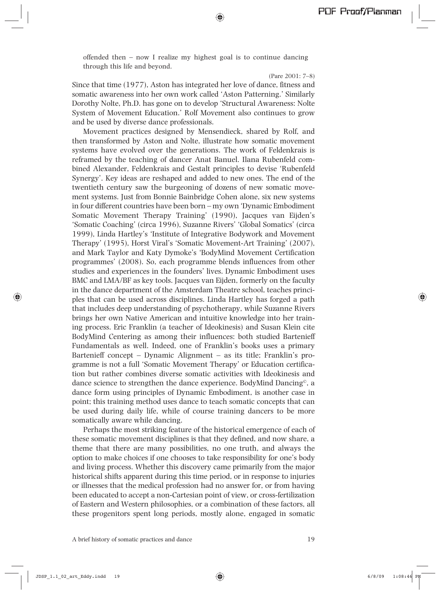offended then – now I realize my highest goal is to continue dancing through this life and beyond.

(Pare 2001: 7–8)

Since that time (1977), Aston has integrated her love of dance, fitness and somatic awareness into her own work called 'Aston Patterning.' Similarly Dorothy Nolte, Ph.D. has gone on to develop 'Structural Awareness: Nolte System of Movement Education.' Rolf Movement also continues to grow and be used by diverse dance professionals.

Movement practices designed by Mensendieck, shared by Rolf, and then transformed by Aston and Nolte, illustrate how somatic movement systems have evolved over the generations. The work of Feldenkrais is reframed by the teaching of dancer Anat Banuel. Ilana Rubenfeld combined Alexander, Feldenkrais and Gestalt principles to devise 'Rubenfeld Synergy'. Key ideas are reshaped and added to new ones. The end of the twentieth century saw the burgeoning of dozens of new somatic movement systems. Just from Bonnie Bainbridge Cohen alone, six new systems in four different countries have been born – my own 'Dynamic Embodiment Somatic Movement Therapy Training' (1990), Jacques van Eijden's 'Somatic Coaching' (circa 1996), Suzanne Rivers' 'Global Somatics' (circa 1999), Linda Hartley's 'Institute of Integrative Bodywork and Movement Therapy' (1995), Horst Viral's 'Somatic Movement-Art Training' (2007), and Mark Taylor and Katy Dymoke's 'BodyMind Movement Certification programmes' (2008). So, each programme blends influences from other studies and experiences in the founders' lives. Dynamic Embodiment uses BMC and LMA/BF as key tools. Jacques van Eijden, formerly on the faculty in the dance department of the Amsterdam Theatre school, teaches principles that can be used across disciplines. Linda Hartley has forged a path that includes deep understanding of psychotherapy, while Suzanne Rivers brings her own Native American and intuitive knowledge into her training process. Eric Franklin (a teacher of Ideokinesis) and Susan Klein cite BodyMind Centering as among their influences: both studied Bartenieff Fundamentals as well. Indeed, one of Franklin's books uses a primary Bartenieff concept – Dynamic Alignment – as its title; Franklin's programme is not a full 'Somatic Movement Therapy' or Education certification but rather combines diverse somatic activities with Ideokinesis and dance science to strengthen the dance experience. BodyMind Dancing©, a dance form using principles of Dynamic Embodiment, is another case in point; this training method uses dance to teach somatic concepts that can be used during daily life, while of course training dancers to be more somatically aware while dancing.

Perhaps the most striking feature of the historical emergence of each of these somatic movement disciplines is that they defined, and now share, a theme that there are many possibilities, no one truth, and always the option to make choices if one chooses to take responsibility for one's body and living process. Whether this discovery came primarily from the major historical shifts apparent during this time period, or in response to injuries or illnesses that the medical profession had no answer for, or from having been educated to accept a non-Cartesian point of view, or cross-fertilization of Eastern and Western philosophies, or a combination of these factors, all these progenitors spent long periods, mostly alone, engaged in somatic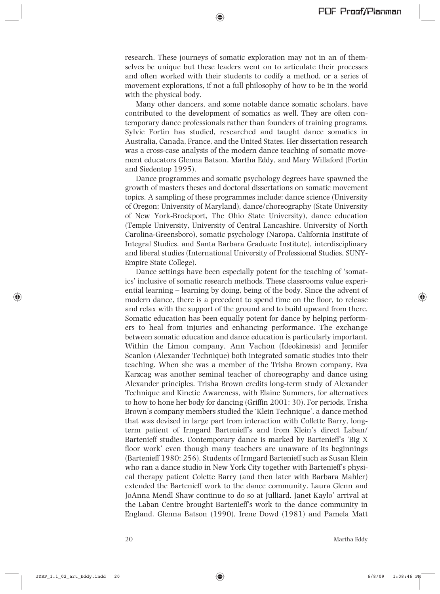research. These journeys of somatic exploration may not in an of themselves be unique but these leaders went on to articulate their processes and often worked with their students to codify a method, or a series of movement explorations, if not a full philosophy of how to be in the world with the physical body.

Many other dancers, and some notable dance somatic scholars, have contributed to the development of somatics as well. They are often contemporary dance professionals rather than founders of training programs. Sylvie Fortin has studied, researched and taught dance somatics in Australia, Canada, France, and the United States. Her dissertation research was a cross-case analysis of the modern dance teaching of somatic movement educators Glenna Batson, Martha Eddy, and Mary Willaford (Fortin and Siedentop 1995).

Dance programmes and somatic psychology degrees have spawned the growth of masters theses and doctoral dissertations on somatic movement topics. A sampling of these programmes include: dance science (University of Oregon; University of Maryland), dance/choreography (State University of New York-Brockport, The Ohio State University), dance education (Temple University, University of Central Lancashire, University of North Carolina-Greensboro), somatic psychology (Naropa, California Institute of Integral Studies, and Santa Barbara Graduate Institute), interdisciplinary and liberal studies (International University of Professional Studies, SUNY-Empire State College).

Dance settings have been especially potent for the teaching of 'somatics' inclusive of somatic research methods. These classrooms value experiential learning – learning by doing, being of the body. Since the advent of modern dance, there is a precedent to spend time on the floor, to release and relax with the support of the ground and to build upward from there. Somatic education has been equally potent for dance by helping performers to heal from injuries and enhancing performance. The exchange between somatic education and dance education is particularly important. Within the Limon company, Ann Vachon (Ideokinesis) and Jennifer Scanlon (Alexander Technique) both integrated somatic studies into their teaching. When she was a member of the Trisha Brown company, Eva Karzcag was another seminal teacher of choreography and dance using Alexander principles. Trisha Brown credits long-term study of Alexander Technique and Kinetic Awareness, with Elaine Summers, for alternatives to how to hone her body for dancing (Griffin 2001: 30). For periods, Trisha Brown's company members studied the 'Klein Technique', a dance method that was devised in large part from interaction with Collette Barry, longterm patient of Irmgard Bartenieff's and from Klein's direct Laban/ Bartenieff studies. Contemporary dance is marked by Bartenieff's 'Big X floor work' even though many teachers are unaware of its beginnings (Bartenieff 1980: 256). Students of Irmgard Bartenieff such as Susan Klein who ran a dance studio in New York City together with Bartenieff's physical therapy patient Colette Barry (and then later with Barbara Mahler) extended the Bartenieff work to the dance community. Laura Glenn and JoAnna Mendl Shaw continue to do so at Julliard. Janet Kaylo' arrival at the Laban Centre brought Bartenieff's work to the dance community in England. Glenna Batson (1990), Irene Dowd (1981) and Pamela Matt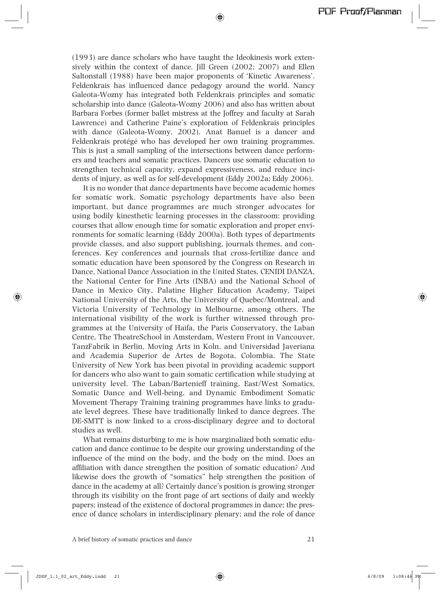(1993) are dance scholars who have taught the Ideokinesis work extensively within the context of dance. Jill Green (2002; 2007) and Ellen Saltonstall (1988) have been major proponents of 'Kinetic Awareness'. Feldenkrais has influenced dance pedagogy around the world. Nancy Galeota-Wozny has integrated both Feldenkrais principles and somatic scholarship into dance (Galeota-Wozny 2006) and also has written about Barbara Forbes (former ballet mistress at the Joffrey and faculty at Sarah Lawrence) and Catherine Paine's exploration of Feldenkrais principles with dance (Galeota-Wozny, 2002). Anat Banuel is a dancer and Feldenkrais protégé who has developed her own training programmes. This is just a small sampling of the intersections between dance performers and teachers and somatic practices. Dancers use somatic education to strengthen technical capacity, expand expressiveness, and reduce incidents of injury, as well as for self-development (Eddy 2002a; Eddy 2006).

It is no wonder that dance departments have become academic homes for somatic work. Somatic psychology departments have also been important, but dance programmes are much stronger advocates for using bodily kinesthetic learning processes in the classroom: providing courses that allow enough time for somatic exploration and proper environments for somatic learning (Eddy 2000a). Both types of departments provide classes, and also support publishing, journals themes, and conferences. Key conferences and journals that cross-fertilize dance and somatic education have been sponsored by the Congress on Research in Dance, National Dance Association in the United States, CENIDI DANZA, the National Center for Fine Arts (INBA) and the National School of Dance in Mexico City, Palatine Higher Education Academy, Taipei National University of the Arts, the University of Quebec/Montreal, and Victoria University of Technology in Melbourne, among others. The international visibility of the work is further witnessed through programmes at the University of Haifa, the Paris Conservatory, the Laban Centre, The TheatreSchool in Amsterdam, Western Front in Vancouver, TanzFabrik in Berlin, Moving Arts in Koln, and Universidad Javeriana and Academia Superior de Artes de Bogota, Colombia. The State University of New York has been pivotal in providing academic support for dancers who also want to gain somatic certification while studying at university level. The Laban/Bartenieff training, East/West Somatics, Somatic Dance and Well-being, and Dynamic Embodiment Somatic Movement Therapy Training training programmes have links to graduate level degrees. These have traditionally linked to dance degrees. The DE-SMTT is now linked to a cross-disciplinary degree and to doctoral studies as well.

What remains disturbing to me is how marginalized both somatic education and dance continue to be despite our growing understanding of the influence of the mind on the body, and the body on the mind. Does an affiliation with dance strengthen the position of somatic education? And likewise does the growth of "somatics" help strengthen the position of dance in the academy at all? Certainly dance's position is growing stronger through its visibility on the front page of art sections of daily and weekly papers; instead of the existence of doctoral programmes in dance; the presence of dance scholars in interdisciplinary plenary; and the role of dance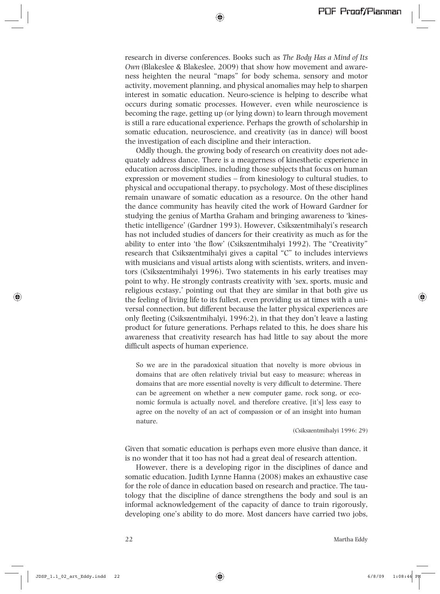research in diverse conferences. Books such as *The Body Has a Mind of Its Own* (Blakeslee & Blakeslee, 2009) that show how movement and awareness heighten the neural "maps" for body schema, sensory and motor activity, movement planning, and physical anomalies may help to sharpen interest in somatic education. Neuro-science is helping to describe what occurs during somatic processes. However, even while neuroscience is becoming the rage, getting up (or lying down) to learn through movement is still a rare educational experience. Perhaps the growth of scholarship in somatic education, neuroscience, and creativity (as in dance) will boost the investigation of each discipline and their interaction.

Oddly though, the growing body of research on creativity does not adequately address dance. There is a meagerness of kinesthetic experience in education across disciplines, including those subjects that focus on human expression or movement studies – from kinesiology to cultural studies, to physical and occupational therapy, to psychology. Most of these disciplines remain unaware of somatic education as a resource. On the other hand the dance community has heavily cited the work of Howard Gardner for studying the genius of Martha Graham and bringing awareness to 'kinesthetic intelligence' (Gardner 1993). However, Csikszentmihalyi's research has not included studies of dancers for their creativity as much as for the ability to enter into 'the flow' (Csikszentmihalyi 1992). The "Creativity" research that Csikszentmihalyi gives a capital "C" to includes interviews with musicians and visual artists along with scientists, writers, and inventors (Csikszentmihalyi 1996). Two statements in his early treatises may point to why. He strongly contrasts creativity with 'sex, sports, music and religious ecstasy,' pointing out that they are similar in that both give us the feeling of living life to its fullest, even providing us at times with a universal connection, but different because the latter physical experiences are only fleeting (Csikszentmihalyi, 1996:2), in that they don't leave a lasting product for future generations. Perhaps related to this, he does share his awareness that creativity research has had little to say about the more difficult aspects of human experience.

So we are in the paradoxical situation that novelty is more obvious in domains that are often relatively trivial but easy to measure; whereas in domains that are more essential novelty is very difficult to determine. There can be agreement on whether a new computer game, rock song, or economic formula is actually novel, and therefore creative, [it's] less easy to agree on the novelty of an act of compassion or of an insight into human nature.

(Csikszentmihalyi 1996: 29)

Given that somatic education is perhaps even more elusive than dance, it is no wonder that it too has not had a great deal of research attention.

However, there is a developing rigor in the disciplines of dance and somatic education. Judith Lynne Hanna (2008) makes an exhaustive case for the role of dance in education based on research and practice. The tautology that the discipline of dance strengthens the body and soul is an informal acknowledgement of the capacity of dance to train rigorously, developing one's ability to do more. Most dancers have carried two jobs,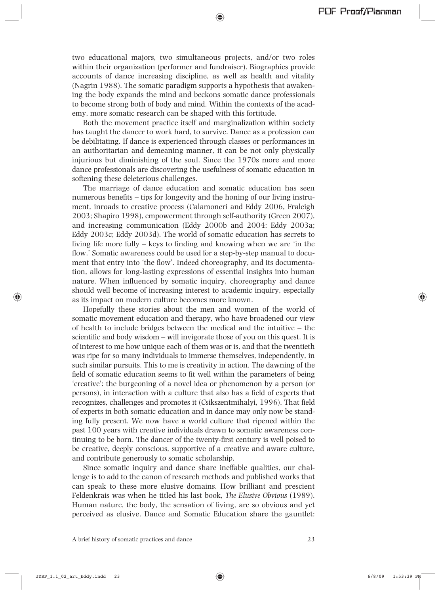two educational majors, two simultaneous projects, and/or two roles within their organization (performer and fundraiser). Biographies provide accounts of dance increasing discipline, as well as health and vitality (Nagrin 1988). The somatic paradigm supports a hypothesis that awakening the body expands the mind and beckons somatic dance professionals to become strong both of body and mind. Within the contexts of the academy, more somatic research can be shaped with this fortitude.

Both the movement practice itself and marginalization within society has taught the dancer to work hard, to survive. Dance as a profession can be debilitating. If dance is experienced through classes or performances in an authoritarian and demeaning manner, it can be not only physically injurious but diminishing of the soul. Since the 1970s more and more dance professionals are discovering the usefulness of somatic education in softening these deleterious challenges.

The marriage of dance education and somatic education has seen numerous benefits – tips for longevity and the honing of our living instrument, inroads to creative process (Calamoneri and Eddy 2006, Fraleigh 2003; Shapiro 1998), empowerment through self-authority (Green 2007), and increasing communication (Eddy 2000b and 2004; Eddy 2003a; Eddy 2003c; Eddy 2003d). The world of somatic education has secrets to living life more fully – keys to finding and knowing when we are 'in the flow.' Somatic awareness could be used for a step-by-step manual to document that entry into 'the flow'. Indeed choreography, and its documentation, allows for long-lasting expressions of essential insights into human nature. When influenced by somatic inquiry, choreography and dance should well become of increasing interest to academic inquiry, especially as its impact on modern culture becomes more known.

Hopefully these stories about the men and women of the world of somatic movement education and therapy, who have broadened our view of health to include bridges between the medical and the intuitive – the scientific and body wisdom – will invigorate those of you on this quest. It is of interest to me how unique each of them was or is, and that the twentieth was ripe for so many individuals to immerse themselves, independently, in such similar pursuits. This to me is creativity in action. The dawning of the field of somatic education seems to fit well within the parameters of being 'creative': the burgeoning of a novel idea or phenomenon by a person (or persons), in interaction with a culture that also has a field of experts that recognizes, challenges and promotes it (Csikszentmihalyi, 1996). That field of experts in both somatic education and in dance may only now be standing fully present. We now have a world culture that ripened within the past 100 years with creative individuals drawn to somatic awareness continuing to be born. The dancer of the twenty-first century is well poised to be creative, deeply conscious, supportive of a creative and aware culture, and contribute generously to somatic scholarship.

Since somatic inquiry and dance share ineffable qualities, our challenge is to add to the canon of research methods and published works that can speak to these more elusive domains. How brilliant and prescient Feldenkrais was when he titled his last book, *The Elusive Obvious* (1989). Human nature, the body, the sensation of living, are so obvious and yet perceived as elusive. Dance and Somatic Education share the gauntlet: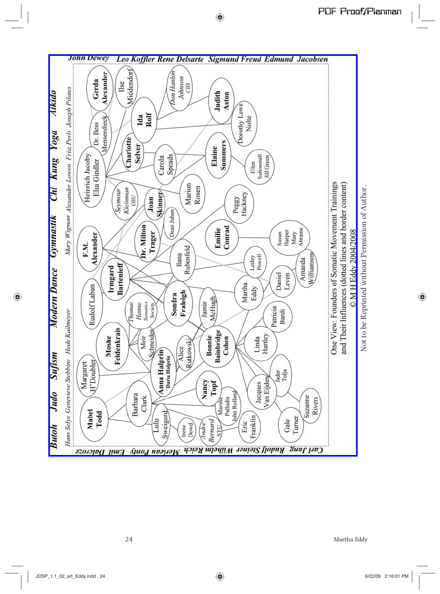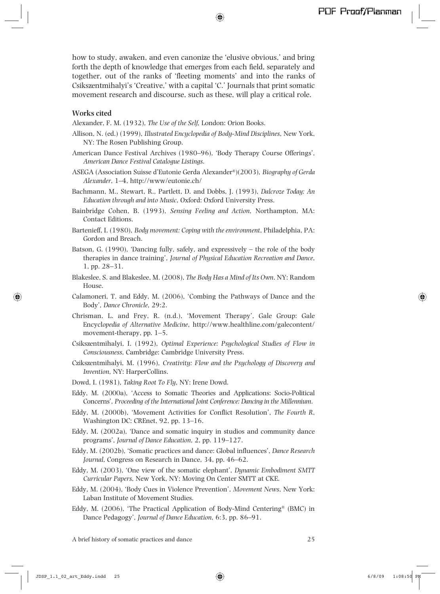how to study, awaken, and even canonize the 'elusive obvious,' and bring forth the depth of knowledge that emerges from each field, separately and together, out of the ranks of 'fleeting moments' and into the ranks of Csikszentmihalyi's 'Creative,' with a capital 'C.' Journals that print somatic movement research and discourse, such as these, will play a critical role.

#### **Works cited**

Alexander, F. M. (1932), *The Use of the Self,* London: Orion Books.

- Allison, N. (ed.) (1999), *Illustrated Encyclopedia of Body-Mind Disciplines*, New York, NY: The Rosen Publishing Group.
- American Dance Festival Archives (1980–96), 'Body Therapy Course Offerings', *American Dance Festival Catalogue Listings*.
- ASEGA (Association Suisse d'Eutonie Gerda Alexander®)(2003), *Biography of Gerda Alexander*, 1–4, http://www/eutonie.ch/
- Bachmann, M., Stewart, R., Partlett, D. and Dobbs, J. (1993), *Dalcroze Today: An Education through and into Music*, Oxford: Oxford University Press.
- Bainbridge Cohen, B. (1993), *Sensing Feeling and Action*, Northampton, MA: Contact Editions.
- Bartenieff, I. (1980), *Body movement: Coping with the environment*, Philadelphia, PA: Gordon and Breach.
- Batson, G. (1990), 'Dancing fully, safely, and expressively the role of the body therapies in dance training', *Journal of Physical Education Recreation and Dance*, 1, pp. 28–31.
- Blakeslee, S. and Blakeslee, M. (2008), *The Body Has a Mind of Its Own*. NY: Random House.
- Calamoneri, T. and Eddy, M. (2006), 'Combing the Pathways of Dance and the Body', *Dance Chronicle*, 29:2.
- Chrisman, L. and Frey, R. (n.d.), 'Movement Therapy', Gale Group: Gale Encycl*opedia of Alternative Medicine*, http://www.healthline.com/galecontent/ movement-therapy, pp. 1–5.
- Csikszentmihalyi, I. (1992), *Optimal Experience: Psychological Studies of Flow in Consciousness*, Cambridge: Cambridge University Press.
- Czikszentmihalyi, M. (1996), *Creativity: Flow and the Psychology of Discovery and Invention*, NY: HarperCollins.
- Dowd, I. (1981), *Taking Root To Fly*, NY: Irene Dowd.
- Eddy, M. (2000a), 'Access to Somatic Theories and Applications: Socio-Political Concerns', *Proceeding of the International Joint Conference: Dancing in the Millennium*.
- Eddy, M. (2000b), 'Movement Activities for Conflict Resolution', *The Fourth R*, Washington DC: CREnet, 92, pp. 13–16.
- Eddy, M. (2002a), 'Dance and somatic inquiry in studios and community dance programs', *Journal of Dance Education*, 2, pp. 119–127.
- Eddy, M. (2002b), 'Somatic practices and dance: Global influences', *Dance Research Journal*, Congress on Research in Dance, 34, pp. 46–62.
- Eddy, M. (2003), 'One view of the somatic elephant', *Dynamic Embodiment SMTT Curricular Papers*, New York, NY: Moving On Center SMTT at CKE.
- Eddy, M. (2004), 'Body Cues in Violence Prevention', *Movement News*, New York: Laban Institute of Movement Studies.
- Eddy, M. (2006), 'The Practical Application of Body-Mind Centering® (BMC) in Dance Pedagogy', *Journal of Dance Education*, 6:3, pp. 86–91.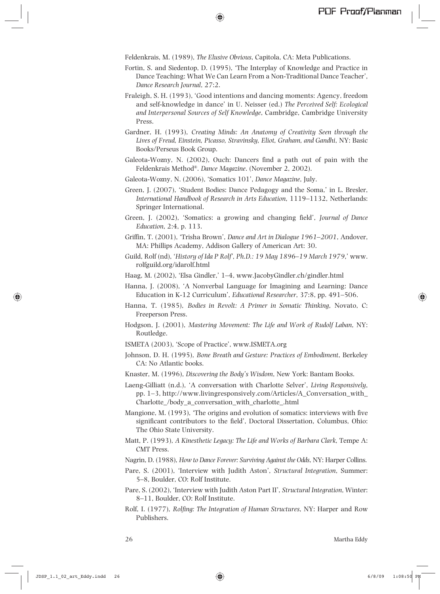Feldenkrais, M. (1989), *The Elusive Obvious*, Capitola, CA: Meta Publications.

- Fortin, S. and Siedentop, D. (1995), 'The Interplay of Knowledge and Practice in Dance Teaching: What We Can Learn From a Non-Traditional Dance Teacher', *Dance Research Journal*, 27:2.
- Fraleigh, S. H. (1993), 'Good intentions and dancing moments: Agency, freedom and self-knowledge in dance' in U. Neisser (ed.) *The Perceived Self: Ecological and Interpersonal Sources of Self Knowledge*, Cambridge, Cambridge University Press.
- Gardner, H. (1993), *Creating Minds: An Anatomy of Creativity Seen through the Lives of Freud, Einstein, Picasso, Stravinsky, Eliot, Graham, and Gandhi*, NY: Basic Books/Perseus Book Group.
- Galeota-Wozny, N. (2002), Ouch: Dancers find a path out of pain with the Feldenkrais Method®. *Dance Magazine*. (November 2, 2002).
- Galeota-Wozny, N. (2006), 'Somatics 101', *Dance Magazine*, July.
- Green, J. (2007), 'Student Bodies: Dance Pedagogy and the Soma,' in L. Bresler, *International Handbook of Research in Arts Education*, 1119–1132, Netherlands: Springer International.
- Green, J. (2002), 'Somatics: a growing and changing field', *Journal of Dance Education*, 2:4, p. 113.
- Griffin, T. (2001), 'Trisha Brown', *Dance and Art in Dialogue 1961–2001*, Andover, MA: Phillips Academy, Addison Gallery of American Art: 30.
- Guild, Rolf (nd), '*History of Ida P Rolf', Ph.D.: 19 May 1896–19 March 1979*,' www. rolfguild.org/idarolf.html
- Haag, M. (2002), 'Elsa Gindler,' 1–4, www.JacobyGindler.ch/gindler.html
- Hanna, J. (2008), 'A Nonverbal Language for Imagining and Learning: Dance Education in K-12 Curriculum', *Educational Researcher*, 37:8, pp. 491–506.
- Hanna, T. (1985), *Bodies in Revolt: A Primer in Somatic Thinking*, Novato, C: Freeperson Press.
- Hodgson, J. (2001), *Mastering Movement: The Life and Work of Rudolf Laban*, NY: Routledge.
- ISMETA (2003), 'Scope of Practice', www.ISMETA.org
- Johnson, D. H. (1995), *Bone Breath and Gesture: Practices of Embodiment*, Berkeley CA: No Atlantic books.
- Knaster, M. (1996), *Discovering the Body's Wisdom*, New York: Bantam Books.
- Laeng-Gilliatt (n.d.), 'A conversation with Charlotte Selver', *Living Responsively*, pp. 1–3, http://www.livingresponsively.com/Articles/A\_Conversation\_with\_ Charlotte\_/body\_a\_conversation\_with\_charlotte\_.html
- Mangione, M. (1993), 'The origins and evolution of somatics: interviews with five significant contributors to the field', Doctoral Dissertation, Columbus, Ohio: The Ohio State University.
- Matt, P. (1993), *A Kinesthetic Legacy: The Life and Works of Barbara Clark*, Tempe A: CMT Press.
- Nagrin, D. (1988), *How to Dance Forever: Surviving Against the Odds*, NY: Harper Collins.
- Pare, S. (2001), 'Interview with Judith Aston', *Structural Integration*, Summer: 5–8, Boulder, CO: Rolf Institute.
- Pare, S. (2002), 'Interview with Judith Aston Part II', *Structural Integration*, Winter: 8–11, Boulder, CO: Rolf Institute.
- Rolf, I. (1977), *Rolfing: The Integration of Human Structures*, NY: Harper and Row Publishers.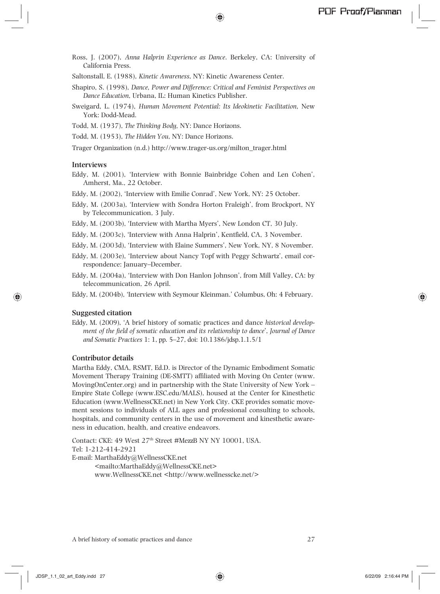- Ross, J. (2007), *Anna Halprin Experience as Dance*. Berkeley, CA: University of California Press.
- Saltonstall, E. (1988), *Kinetic Awareness*, NY: Kinetic Awareness Center.
- Shapiro, S. (1998), *Dance, Power and Difference: Critical and Feminist Perspectives on Dance Education*, Urbana, IL: Human Kinetics Publisher.
- Sweigard, L. (1974), *Human Movement Potential: Its Ideokinetic Facilitation*, New York: Dodd-Mead.
- Todd, M. (1937), *The Thinking Body,* NY: Dance Horizons.
- Todd, M. (1953), *The Hidden You*, NY: Dance Horizons.

Trager Organization (n.d.) http://www.trager-us.org/milton\_trager.html

#### **Interviews**

Eddy, M. (2001), 'Interview with Bonnie Bainbridge Cohen and Len Cohen', Amherst, Ma., 22 October.

Eddy, M. (2002), 'Interview with Emilie Conrad', New York, NY: 25 October.

- Eddy, M. (2003a), 'Interview with Sondra Horton Fraleigh', from Brockport, NY by Telecommunication, 3 July.
- Eddy, M. (2003b), 'Interview with Martha Myers', New London CT, 30 July.
- Eddy, M. (2003c), 'Interview with Anna Halprin', Kentfield, CA, 3 November.
- Eddy, M. (2003d), 'Interview with Elaine Summers', New York, NY, 8 November.
- Eddy, M. (2003e), 'Interview about Nancy Topf with Peggy Schwartz', email correspondence: January–December.
- Eddy, M. (2004a), 'Interview with Don Hanlon Johnson', from Mill Valley, CA: by telecommunication, 26 April.

Eddy, M. (2004b), 'Interview with Seymour Kleinman.' Columbus, Oh: 4 February.

#### **Suggested citation**

Eddy, M. (2009), 'A brief history of somatic practices and dance *historical development of the field of somatic education and its relationship to dance*', *Journal of Dance and Somatic Practices* 1: 1, pp. 5–27, doi: 10.1386/jdsp.1.1.5/1

#### **Contributor details**

Martha Eddy, CMA, RSMT, Ed.D. is Director of the Dynamic Embodiment Somatic Movement Therapy Training (DE-SMTT) affiliated with Moving On Center (www. MovingOnCenter.org) and in partnership with the State University of New York – Empire State College (www.ESC.edu/MALS), housed at the Center for Kinesthetic Education (www.WellnessCKE.net) in New York City. CKE provides somatic movement sessions to individuals of ALL ages and professional consulting to schools, hospitals, and community centers in the use of movement and kinesthetic awareness in education, health, and creative endeavors.

Contact: CKE: 49 West 27<sup>th</sup> Street #MezzB NY NY 10001, USA. Tel: 1-212-414-2921 E-mail: MarthaEddy@WellnessCKE.net <mailto:MarthaEddy@WellnessCKE.net> www.WellnessCKE.net <http://www.wellnesscke.net/>